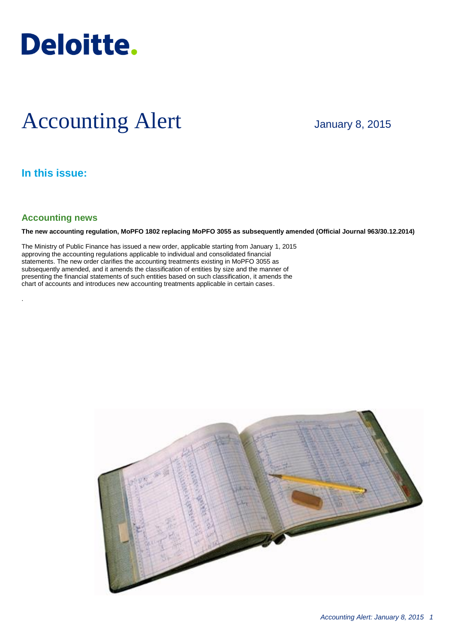

# Accounting Alert

January 8, 2015

## **In this issue:**

### **Accounting news**

.

**The new accounting regulation, MoPFO 1802 replacing MoPFO 3055 as subsequently amended (Official Journal 963/30.12.2014)**

The Ministry of Public Finance has issued a new order, applicable starting from January 1, 2015 approving the accounting regulations applicable to individual and consolidated financial statements. The new order clarifies the accounting treatments existing in MoPFO 3055 as subsequently amended, and it amends the classification of entities by size and the manner of presenting the financial statements of such entities based on such classification, it amends the chart of accounts and introduces new accounting treatments applicable in certain cases.

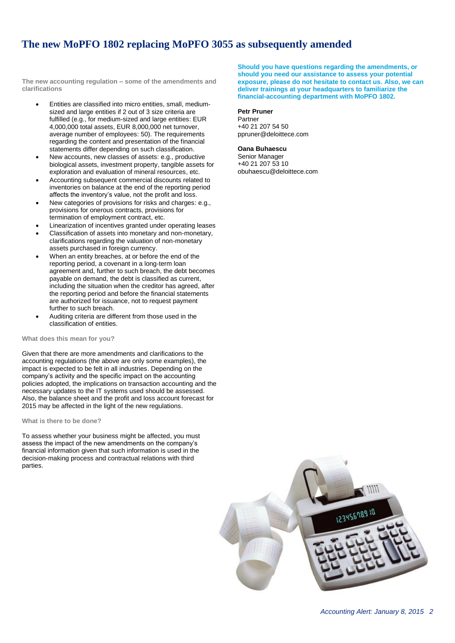## **The new MoPFO 1802 replacing MoPFO 3055 as subsequently amended**

**The new accounting regulation – some of the amendments and clarifications**

- Entities are classified into micro entities, small, mediumsized and large entities if 2 out of 3 size criteria are fulfilled (e.g., for medium-sized and large entities: EUR 4,000,000 total assets, EUR 8,000,000 net turnover, average number of employees: 50). The requirements regarding the content and presentation of the financial statements differ depending on such classification.
- New accounts, new classes of assets: e.g., productive biological assets, investment property, tangible assets for exploration and evaluation of mineral resources, etc.
- Accounting subsequent commercial discounts related to inventories on balance at the end of the reporting period affects the inventory's value, not the profit and loss.
- New categories of provisions for risks and charges: e.g., provisions for onerous contracts, provisions for termination of employment contract, etc.
- Linearization of incentives granted under operating leases
- Classification of assets into monetary and non-monetary, clarifications regarding the valuation of non-monetary assets purchased in foreign currency.
- When an entity breaches, at or before the end of the reporting period, a covenant in a long-term loan agreement and, further to such breach, the debt becomes payable on demand, the debt is classified as current, including the situation when the creditor has agreed, after the reporting period and before the financial statements are authorized for issuance, not to request payment further to such breach.
- Auditing criteria are different from those used in the classification of entities.

#### **What does this mean for you?**

Given that there are more amendments and clarifications to the accounting regulations (the above are only some examples), the impact is expected to be felt in all industries. Depending on the company's activity and the specific impact on the accounting policies adopted, the implications on transaction accounting and the necessary updates to the IT systems used should be assessed. Also, the balance sheet and the profit and loss account forecast for 2015 may be affected in the light of the new regulations.

#### **What is there to be done?**

To assess whether your business might be affected, you must assess the impact of the new amendments on the company's financial information given that such information is used in the decision-making process and contractual relations with third parties.

**Should you have questions regarding the amendments, or should you need our assistance to assess your potential exposure, please do not hesitate to contact us. Also, we can deliver trainings at your headquarters to familiarize the financial-accounting department with MoPFO 1802.**

#### **Petr Pruner**

Partner +40 21 207 54 50 ppruner@deloittece.com

#### **Oana Buhaescu**

Senior Manager +40 21 207 53 10 obuhaescu@deloittece.com